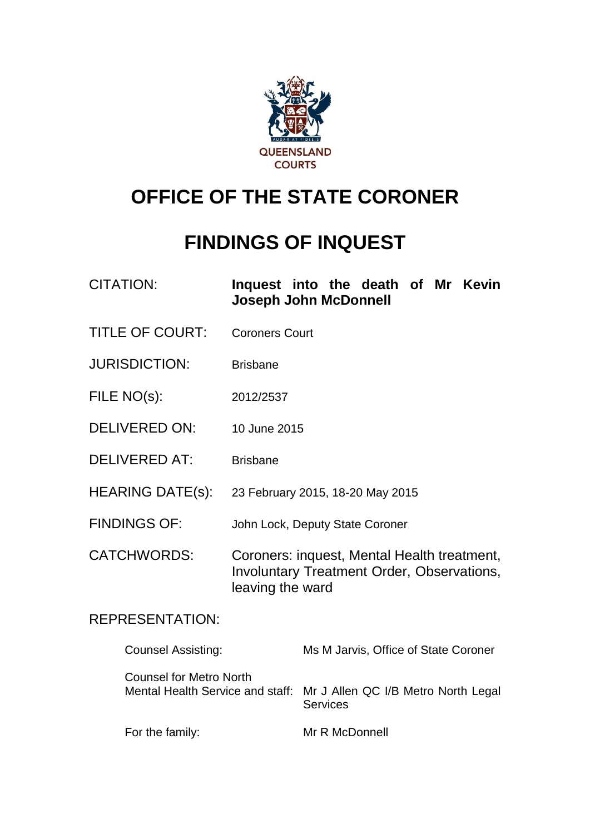

# **OFFICE OF THE STATE CORONER**

# **FINDINGS OF INQUEST**

| <b>CITATION:</b> | Inquest into the death of Mr Kevin |  |  |  |  |  |
|------------------|------------------------------------|--|--|--|--|--|
|                  | <b>Joseph John McDonnell</b>       |  |  |  |  |  |

- TITLE OF COURT: Coroners Court
- JURISDICTION: Brisbane
- FILE NO(s): 2012/2537
- DELIVERED ON: 10 June 2015
- DELIVERED AT: Brisbane
- HEARING DATE(s): 23 February 2015, 18-20 May 2015
- FINDINGS OF: John Lock, Deputy State Coroner
- CATCHWORDS: Coroners: inquest, Mental Health treatment, Involuntary Treatment Order, Observations, leaving the ward

## REPRESENTATION:

| <b>Counsel Assisting:</b> | Ms M Jarvis, Office of State Coroner                                                    |
|---------------------------|-----------------------------------------------------------------------------------------|
| Counsel for Metro North   | Mental Health Service and staff: Mr J Allen QC I/B Metro North Legal<br><b>Services</b> |
| For the family:           | Mr R McDonnell                                                                          |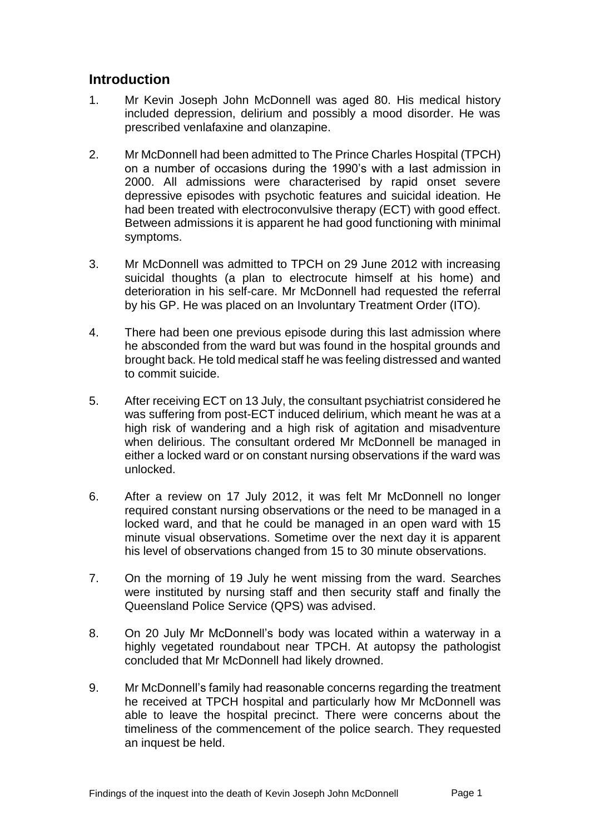# **Introduction**

- 1. Mr Kevin Joseph John McDonnell was aged 80. His medical history included depression, delirium and possibly a mood disorder. He was prescribed venlafaxine and olanzapine.
- 2. Mr McDonnell had been admitted to The Prince Charles Hospital (TPCH) on a number of occasions during the 1990's with a last admission in 2000. All admissions were characterised by rapid onset severe depressive episodes with psychotic features and suicidal ideation. He had been treated with electroconvulsive therapy (ECT) with good effect. Between admissions it is apparent he had good functioning with minimal symptoms.
- 3. Mr McDonnell was admitted to TPCH on 29 June 2012 with increasing suicidal thoughts (a plan to electrocute himself at his home) and deterioration in his self-care. Mr McDonnell had requested the referral by his GP. He was placed on an Involuntary Treatment Order (ITO).
- 4. There had been one previous episode during this last admission where he absconded from the ward but was found in the hospital grounds and brought back. He told medical staff he was feeling distressed and wanted to commit suicide.
- 5. After receiving ECT on 13 July, the consultant psychiatrist considered he was suffering from post-ECT induced delirium, which meant he was at a high risk of wandering and a high risk of agitation and misadventure when delirious. The consultant ordered Mr McDonnell be managed in either a locked ward or on constant nursing observations if the ward was unlocked.
- 6. After a review on 17 July 2012, it was felt Mr McDonnell no longer required constant nursing observations or the need to be managed in a locked ward, and that he could be managed in an open ward with 15 minute visual observations. Sometime over the next day it is apparent his level of observations changed from 15 to 30 minute observations.
- 7. On the morning of 19 July he went missing from the ward. Searches were instituted by nursing staff and then security staff and finally the Queensland Police Service (QPS) was advised.
- 8. On 20 July Mr McDonnell's body was located within a waterway in a highly vegetated roundabout near TPCH. At autopsy the pathologist concluded that Mr McDonnell had likely drowned.
- 9. Mr McDonnell's family had reasonable concerns regarding the treatment he received at TPCH hospital and particularly how Mr McDonnell was able to leave the hospital precinct. There were concerns about the timeliness of the commencement of the police search. They requested an inquest be held.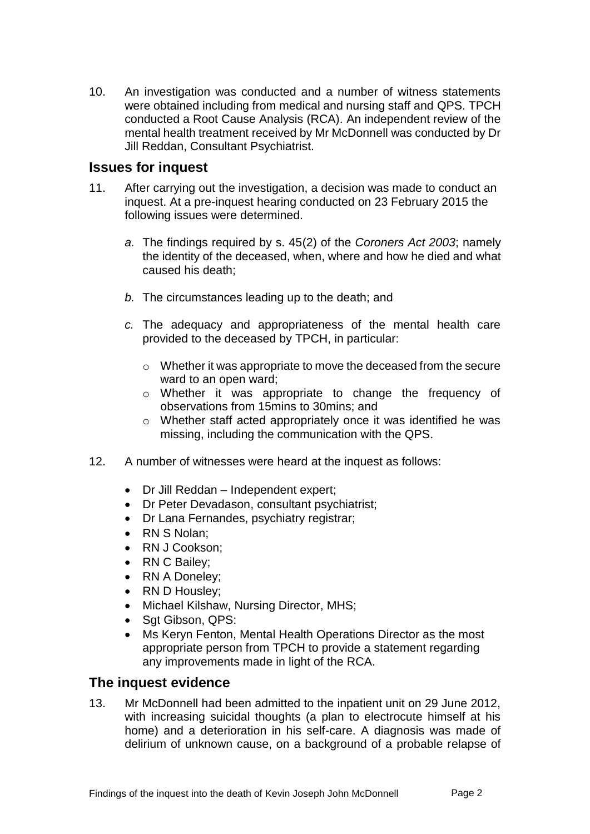10. An investigation was conducted and a number of witness statements were obtained including from medical and nursing staff and QPS. TPCH conducted a Root Cause Analysis (RCA). An independent review of the mental health treatment received by Mr McDonnell was conducted by Dr Jill Reddan, Consultant Psychiatrist.

## **Issues for inquest**

- 11. After carrying out the investigation, a decision was made to conduct an inquest. At a pre-inquest hearing conducted on 23 February 2015 the following issues were determined.
	- *a.* The findings required by s. 45(2) of the *Coroners Act 2003*; namely the identity of the deceased, when, where and how he died and what caused his death;
	- *b.* The circumstances leading up to the death; and
	- *c.* The adequacy and appropriateness of the mental health care provided to the deceased by TPCH, in particular:
		- o Whether it was appropriate to move the deceased from the secure ward to an open ward;
		- o Whether it was appropriate to change the frequency of observations from 15mins to 30mins; and
		- o Whether staff acted appropriately once it was identified he was missing, including the communication with the QPS.
- 12. A number of witnesses were heard at the inquest as follows:
	- Dr Jill Reddan Independent expert;
	- Dr Peter Devadason, consultant psychiatrist:
	- Dr Lana Fernandes, psychiatry registrar;
	- RN S Nolan:
	- RN J Cookson:
	- RN C Bailey;
	- RN A Doneley;
	- RN D Housley;
	- Michael Kilshaw, Nursing Director, MHS;
	- Sqt Gibson, QPS:
	- Ms Keryn Fenton, Mental Health Operations Director as the most appropriate person from TPCH to provide a statement regarding any improvements made in light of the RCA.

# **The inquest evidence**

13. Mr McDonnell had been admitted to the inpatient unit on 29 June 2012, with increasing suicidal thoughts (a plan to electrocute himself at his home) and a deterioration in his self-care. A diagnosis was made of delirium of unknown cause, on a background of a probable relapse of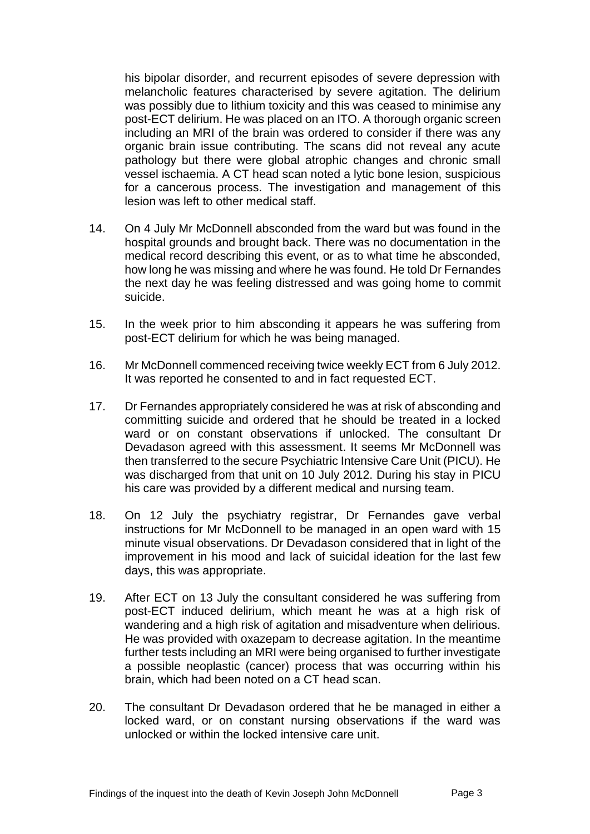his bipolar disorder, and recurrent episodes of severe depression with melancholic features characterised by severe agitation. The delirium was possibly due to lithium toxicity and this was ceased to minimise any post-ECT delirium. He was placed on an ITO. A thorough organic screen including an MRI of the brain was ordered to consider if there was any organic brain issue contributing. The scans did not reveal any acute pathology but there were global atrophic changes and chronic small vessel ischaemia. A CT head scan noted a lytic bone lesion, suspicious for a cancerous process. The investigation and management of this lesion was left to other medical staff.

- 14. On 4 July Mr McDonnell absconded from the ward but was found in the hospital grounds and brought back. There was no documentation in the medical record describing this event, or as to what time he absconded, how long he was missing and where he was found. He told Dr Fernandes the next day he was feeling distressed and was going home to commit suicide.
- 15. In the week prior to him absconding it appears he was suffering from post-ECT delirium for which he was being managed.
- 16. Mr McDonnell commenced receiving twice weekly ECT from 6 July 2012. It was reported he consented to and in fact requested ECT.
- 17. Dr Fernandes appropriately considered he was at risk of absconding and committing suicide and ordered that he should be treated in a locked ward or on constant observations if unlocked. The consultant Dr Devadason agreed with this assessment. It seems Mr McDonnell was then transferred to the secure Psychiatric Intensive Care Unit (PICU). He was discharged from that unit on 10 July 2012. During his stay in PICU his care was provided by a different medical and nursing team.
- 18. On 12 July the psychiatry registrar, Dr Fernandes gave verbal instructions for Mr McDonnell to be managed in an open ward with 15 minute visual observations. Dr Devadason considered that in light of the improvement in his mood and lack of suicidal ideation for the last few days, this was appropriate.
- 19. After ECT on 13 July the consultant considered he was suffering from post-ECT induced delirium, which meant he was at a high risk of wandering and a high risk of agitation and misadventure when delirious. He was provided with oxazepam to decrease agitation. In the meantime further tests including an MRI were being organised to further investigate a possible neoplastic (cancer) process that was occurring within his brain, which had been noted on a CT head scan.
- 20. The consultant Dr Devadason ordered that he be managed in either a locked ward, or on constant nursing observations if the ward was unlocked or within the locked intensive care unit.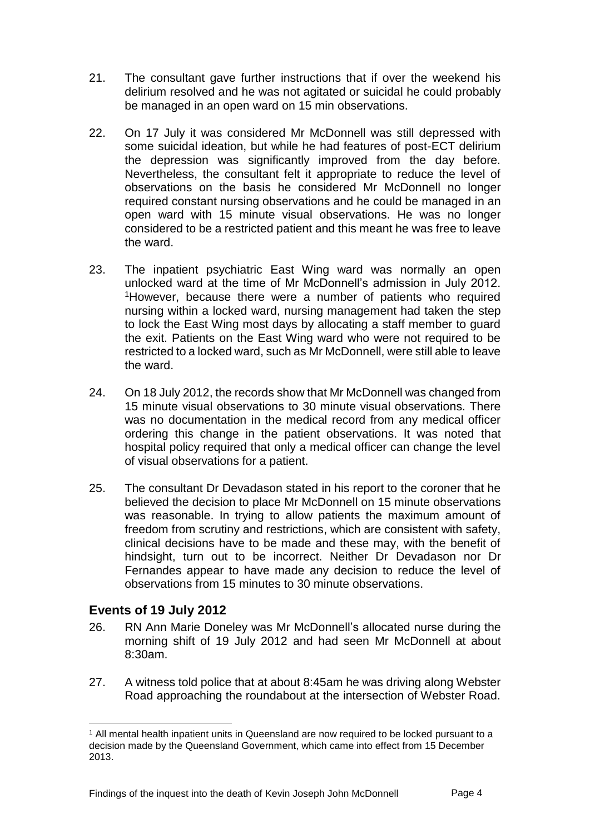- 21. The consultant gave further instructions that if over the weekend his delirium resolved and he was not agitated or suicidal he could probably be managed in an open ward on 15 min observations.
- 22. On 17 July it was considered Mr McDonnell was still depressed with some suicidal ideation, but while he had features of post-ECT delirium the depression was significantly improved from the day before. Nevertheless, the consultant felt it appropriate to reduce the level of observations on the basis he considered Mr McDonnell no longer required constant nursing observations and he could be managed in an open ward with 15 minute visual observations. He was no longer considered to be a restricted patient and this meant he was free to leave the ward.
- 23. The inpatient psychiatric East Wing ward was normally an open unlocked ward at the time of Mr McDonnell's admission in July 2012. <sup>1</sup>However, because there were a number of patients who required nursing within a locked ward, nursing management had taken the step to lock the East Wing most days by allocating a staff member to guard the exit. Patients on the East Wing ward who were not required to be restricted to a locked ward, such as Mr McDonnell, were still able to leave the ward.
- 24. On 18 July 2012, the records show that Mr McDonnell was changed from 15 minute visual observations to 30 minute visual observations. There was no documentation in the medical record from any medical officer ordering this change in the patient observations. It was noted that hospital policy required that only a medical officer can change the level of visual observations for a patient.
- 25. The consultant Dr Devadason stated in his report to the coroner that he believed the decision to place Mr McDonnell on 15 minute observations was reasonable. In trying to allow patients the maximum amount of freedom from scrutiny and restrictions, which are consistent with safety, clinical decisions have to be made and these may, with the benefit of hindsight, turn out to be incorrect. Neither Dr Devadason nor Dr Fernandes appear to have made any decision to reduce the level of observations from 15 minutes to 30 minute observations.

# **Events of 19 July 2012**

- 26. RN Ann Marie Doneley was Mr McDonnell's allocated nurse during the morning shift of 19 July 2012 and had seen Mr McDonnell at about 8:30am.
- 27. A witness told police that at about 8:45am he was driving along Webster Road approaching the roundabout at the intersection of Webster Road.

l <sup>1</sup> All mental health inpatient units in Queensland are now required to be locked pursuant to a decision made by the Queensland Government, which came into effect from 15 December 2013.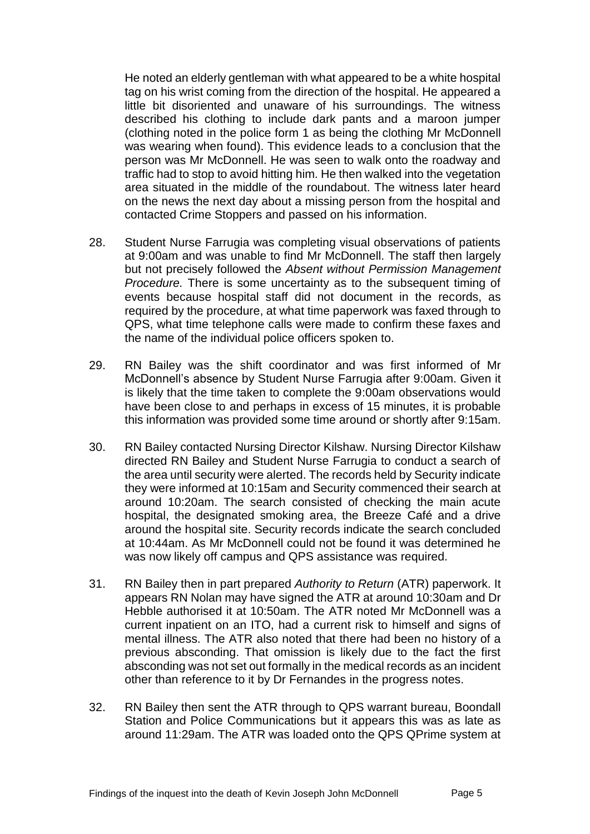He noted an elderly gentleman with what appeared to be a white hospital tag on his wrist coming from the direction of the hospital. He appeared a little bit disoriented and unaware of his surroundings. The witness described his clothing to include dark pants and a maroon jumper (clothing noted in the police form 1 as being the clothing Mr McDonnell was wearing when found). This evidence leads to a conclusion that the person was Mr McDonnell. He was seen to walk onto the roadway and traffic had to stop to avoid hitting him. He then walked into the vegetation area situated in the middle of the roundabout. The witness later heard on the news the next day about a missing person from the hospital and contacted Crime Stoppers and passed on his information.

- 28. Student Nurse Farrugia was completing visual observations of patients at 9:00am and was unable to find Mr McDonnell. The staff then largely but not precisely followed the *Absent without Permission Management Procedure.* There is some uncertainty as to the subsequent timing of events because hospital staff did not document in the records, as required by the procedure, at what time paperwork was faxed through to QPS, what time telephone calls were made to confirm these faxes and the name of the individual police officers spoken to.
- 29. RN Bailey was the shift coordinator and was first informed of Mr McDonnell's absence by Student Nurse Farrugia after 9:00am. Given it is likely that the time taken to complete the 9:00am observations would have been close to and perhaps in excess of 15 minutes, it is probable this information was provided some time around or shortly after 9:15am.
- 30. RN Bailey contacted Nursing Director Kilshaw. Nursing Director Kilshaw directed RN Bailey and Student Nurse Farrugia to conduct a search of the area until security were alerted. The records held by Security indicate they were informed at 10:15am and Security commenced their search at around 10:20am. The search consisted of checking the main acute hospital, the designated smoking area, the Breeze Café and a drive around the hospital site. Security records indicate the search concluded at 10:44am. As Mr McDonnell could not be found it was determined he was now likely off campus and QPS assistance was required.
- 31. RN Bailey then in part prepared *Authority to Return* (ATR) paperwork. It appears RN Nolan may have signed the ATR at around 10:30am and Dr Hebble authorised it at 10:50am. The ATR noted Mr McDonnell was a current inpatient on an ITO, had a current risk to himself and signs of mental illness. The ATR also noted that there had been no history of a previous absconding. That omission is likely due to the fact the first absconding was not set out formally in the medical records as an incident other than reference to it by Dr Fernandes in the progress notes.
- 32. RN Bailey then sent the ATR through to QPS warrant bureau, Boondall Station and Police Communications but it appears this was as late as around 11:29am. The ATR was loaded onto the QPS QPrime system at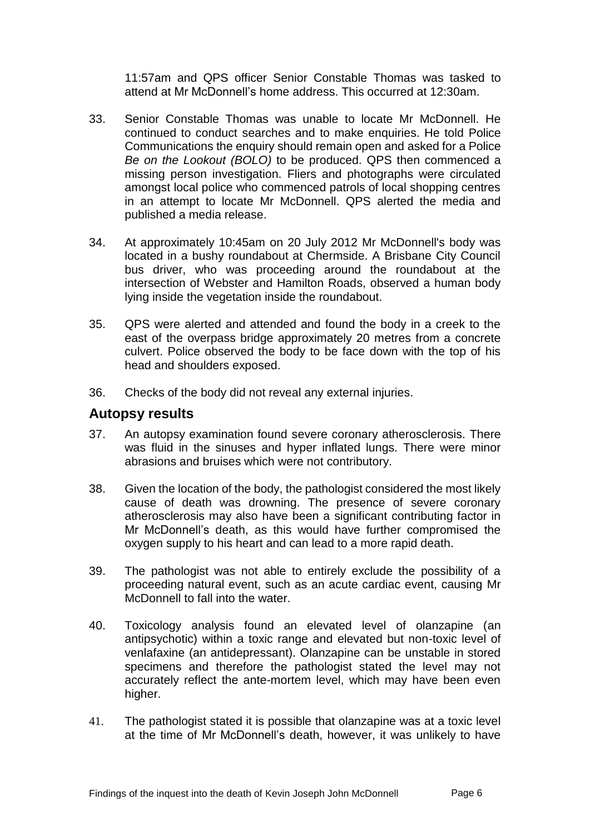11:57am and QPS officer Senior Constable Thomas was tasked to attend at Mr McDonnell's home address. This occurred at 12:30am.

- 33. Senior Constable Thomas was unable to locate Mr McDonnell. He continued to conduct searches and to make enquiries. He told Police Communications the enquiry should remain open and asked for a Police *Be on the Lookout (BOLO)* to be produced. QPS then commenced a missing person investigation. Fliers and photographs were circulated amongst local police who commenced patrols of local shopping centres in an attempt to locate Mr McDonnell. QPS alerted the media and published a media release.
- 34. At approximately 10:45am on 20 July 2012 Mr McDonnell's body was located in a bushy roundabout at Chermside. A Brisbane City Council bus driver, who was proceeding around the roundabout at the intersection of Webster and Hamilton Roads, observed a human body lying inside the vegetation inside the roundabout.
- 35. QPS were alerted and attended and found the body in a creek to the east of the overpass bridge approximately 20 metres from a concrete culvert. Police observed the body to be face down with the top of his head and shoulders exposed.
- 36. Checks of the body did not reveal any external injuries.

## **Autopsy results**

- 37. An autopsy examination found severe coronary atherosclerosis. There was fluid in the sinuses and hyper inflated lungs. There were minor abrasions and bruises which were not contributory.
- 38. Given the location of the body, the pathologist considered the most likely cause of death was drowning. The presence of severe coronary atherosclerosis may also have been a significant contributing factor in Mr McDonnell's death, as this would have further compromised the oxygen supply to his heart and can lead to a more rapid death.
- 39. The pathologist was not able to entirely exclude the possibility of a proceeding natural event, such as an acute cardiac event, causing Mr McDonnell to fall into the water.
- 40. Toxicology analysis found an elevated level of olanzapine (an antipsychotic) within a toxic range and elevated but non-toxic level of venlafaxine (an antidepressant). Olanzapine can be unstable in stored specimens and therefore the pathologist stated the level may not accurately reflect the ante-mortem level, which may have been even higher.
- 41. The pathologist stated it is possible that olanzapine was at a toxic level at the time of Mr McDonnell's death, however, it was unlikely to have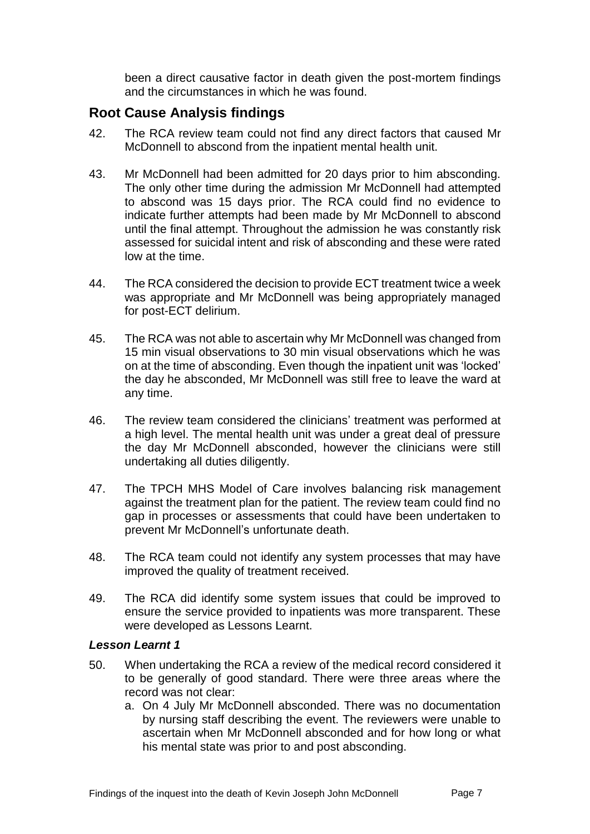been a direct causative factor in death given the post-mortem findings and the circumstances in which he was found.

# **Root Cause Analysis findings**

- 42. The RCA review team could not find any direct factors that caused Mr McDonnell to abscond from the inpatient mental health unit.
- 43. Mr McDonnell had been admitted for 20 days prior to him absconding. The only other time during the admission Mr McDonnell had attempted to abscond was 15 days prior. The RCA could find no evidence to indicate further attempts had been made by Mr McDonnell to abscond until the final attempt. Throughout the admission he was constantly risk assessed for suicidal intent and risk of absconding and these were rated low at the time.
- 44. The RCA considered the decision to provide ECT treatment twice a week was appropriate and Mr McDonnell was being appropriately managed for post-ECT delirium.
- 45. The RCA was not able to ascertain why Mr McDonnell was changed from 15 min visual observations to 30 min visual observations which he was on at the time of absconding. Even though the inpatient unit was 'locked' the day he absconded, Mr McDonnell was still free to leave the ward at any time.
- 46. The review team considered the clinicians' treatment was performed at a high level. The mental health unit was under a great deal of pressure the day Mr McDonnell absconded, however the clinicians were still undertaking all duties diligently.
- 47. The TPCH MHS Model of Care involves balancing risk management against the treatment plan for the patient. The review team could find no gap in processes or assessments that could have been undertaken to prevent Mr McDonnell's unfortunate death.
- 48. The RCA team could not identify any system processes that may have improved the quality of treatment received.
- 49. The RCA did identify some system issues that could be improved to ensure the service provided to inpatients was more transparent. These were developed as Lessons Learnt.

#### *Lesson Learnt 1*

- 50. When undertaking the RCA a review of the medical record considered it to be generally of good standard. There were three areas where the record was not clear:
	- a. On 4 July Mr McDonnell absconded. There was no documentation by nursing staff describing the event. The reviewers were unable to ascertain when Mr McDonnell absconded and for how long or what his mental state was prior to and post absconding.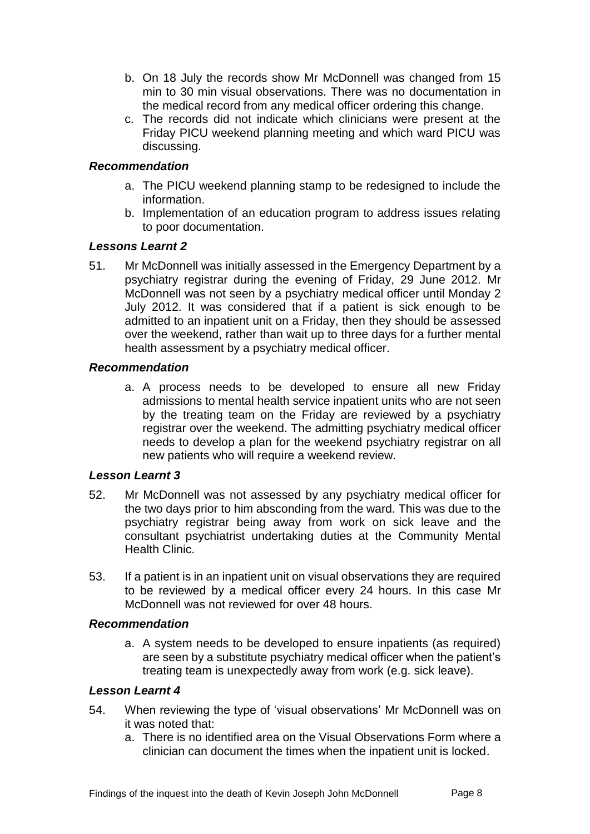- b. On 18 July the records show Mr McDonnell was changed from 15 min to 30 min visual observations. There was no documentation in the medical record from any medical officer ordering this change.
- c. The records did not indicate which clinicians were present at the Friday PICU weekend planning meeting and which ward PICU was discussing.

#### *Recommendation*

- a. The PICU weekend planning stamp to be redesigned to include the information.
- b. Implementation of an education program to address issues relating to poor documentation.

#### *Lessons Learnt 2*

51. Mr McDonnell was initially assessed in the Emergency Department by a psychiatry registrar during the evening of Friday, 29 June 2012. Mr McDonnell was not seen by a psychiatry medical officer until Monday 2 July 2012. It was considered that if a patient is sick enough to be admitted to an inpatient unit on a Friday, then they should be assessed over the weekend, rather than wait up to three days for a further mental health assessment by a psychiatry medical officer.

#### *Recommendation*

a. A process needs to be developed to ensure all new Friday admissions to mental health service inpatient units who are not seen by the treating team on the Friday are reviewed by a psychiatry registrar over the weekend. The admitting psychiatry medical officer needs to develop a plan for the weekend psychiatry registrar on all new patients who will require a weekend review.

### *Lesson Learnt 3*

- 52. Mr McDonnell was not assessed by any psychiatry medical officer for the two days prior to him absconding from the ward. This was due to the psychiatry registrar being away from work on sick leave and the consultant psychiatrist undertaking duties at the Community Mental Health Clinic.
- 53. If a patient is in an inpatient unit on visual observations they are required to be reviewed by a medical officer every 24 hours. In this case Mr McDonnell was not reviewed for over 48 hours.

#### *Recommendation*

a. A system needs to be developed to ensure inpatients (as required) are seen by a substitute psychiatry medical officer when the patient's treating team is unexpectedly away from work (e.g. sick leave).

#### *Lesson Learnt 4*

- 54. When reviewing the type of 'visual observations' Mr McDonnell was on it was noted that:
	- a. There is no identified area on the Visual Observations Form where a clinician can document the times when the inpatient unit is locked.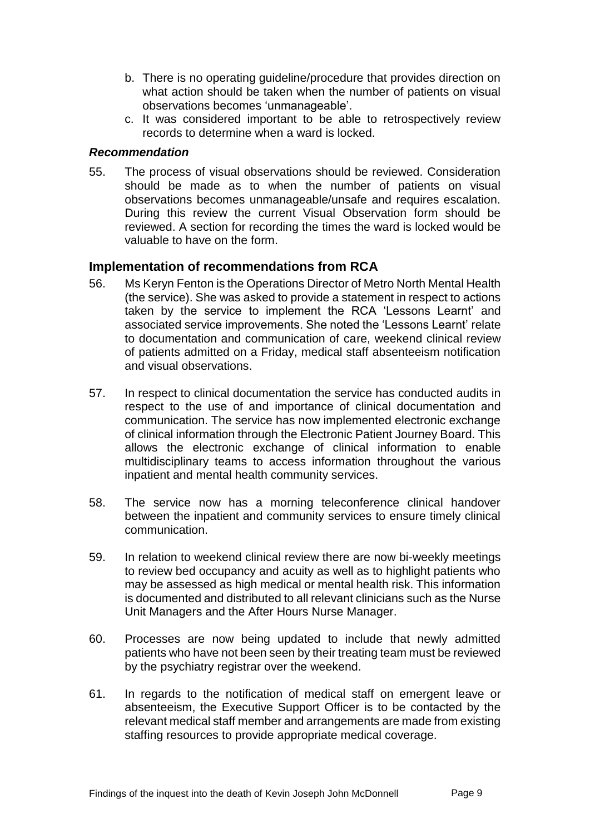- b. There is no operating guideline/procedure that provides direction on what action should be taken when the number of patients on visual observations becomes 'unmanageable'.
- c. It was considered important to be able to retrospectively review records to determine when a ward is locked.

#### *Recommendation*

55. The process of visual observations should be reviewed. Consideration should be made as to when the number of patients on visual observations becomes unmanageable/unsafe and requires escalation. During this review the current Visual Observation form should be reviewed. A section for recording the times the ward is locked would be valuable to have on the form.

### **Implementation of recommendations from RCA**

- 56. Ms Keryn Fenton is the Operations Director of Metro North Mental Health (the service). She was asked to provide a statement in respect to actions taken by the service to implement the RCA 'Lessons Learnt' and associated service improvements. She noted the 'Lessons Learnt' relate to documentation and communication of care, weekend clinical review of patients admitted on a Friday, medical staff absenteeism notification and visual observations.
- 57. In respect to clinical documentation the service has conducted audits in respect to the use of and importance of clinical documentation and communication. The service has now implemented electronic exchange of clinical information through the Electronic Patient Journey Board. This allows the electronic exchange of clinical information to enable multidisciplinary teams to access information throughout the various inpatient and mental health community services.
- 58. The service now has a morning teleconference clinical handover between the inpatient and community services to ensure timely clinical communication.
- 59. In relation to weekend clinical review there are now bi-weekly meetings to review bed occupancy and acuity as well as to highlight patients who may be assessed as high medical or mental health risk. This information is documented and distributed to all relevant clinicians such as the Nurse Unit Managers and the After Hours Nurse Manager.
- 60. Processes are now being updated to include that newly admitted patients who have not been seen by their treating team must be reviewed by the psychiatry registrar over the weekend.
- 61. In regards to the notification of medical staff on emergent leave or absenteeism, the Executive Support Officer is to be contacted by the relevant medical staff member and arrangements are made from existing staffing resources to provide appropriate medical coverage.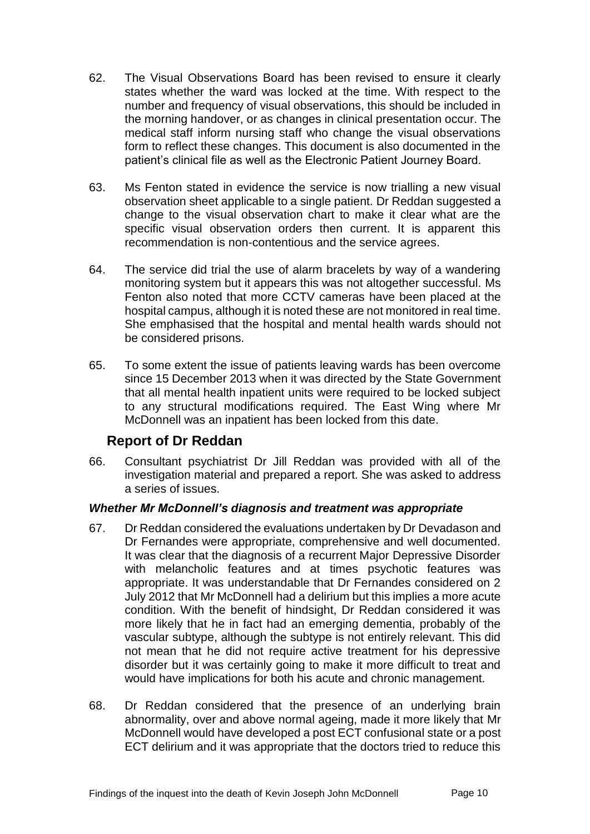- 62. The Visual Observations Board has been revised to ensure it clearly states whether the ward was locked at the time. With respect to the number and frequency of visual observations, this should be included in the morning handover, or as changes in clinical presentation occur. The medical staff inform nursing staff who change the visual observations form to reflect these changes. This document is also documented in the patient's clinical file as well as the Electronic Patient Journey Board.
- 63. Ms Fenton stated in evidence the service is now trialling a new visual observation sheet applicable to a single patient. Dr Reddan suggested a change to the visual observation chart to make it clear what are the specific visual observation orders then current. It is apparent this recommendation is non-contentious and the service agrees.
- 64. The service did trial the use of alarm bracelets by way of a wandering monitoring system but it appears this was not altogether successful. Ms Fenton also noted that more CCTV cameras have been placed at the hospital campus, although it is noted these are not monitored in real time. She emphasised that the hospital and mental health wards should not be considered prisons.
- 65. To some extent the issue of patients leaving wards has been overcome since 15 December 2013 when it was directed by the State Government that all mental health inpatient units were required to be locked subject to any structural modifications required. The East Wing where Mr McDonnell was an inpatient has been locked from this date.

# **Report of Dr Reddan**

66. Consultant psychiatrist Dr Jill Reddan was provided with all of the investigation material and prepared a report. She was asked to address a series of issues.

#### *Whether Mr McDonnell's diagnosis and treatment was appropriate*

- 67. Dr Reddan considered the evaluations undertaken by Dr Devadason and Dr Fernandes were appropriate, comprehensive and well documented. It was clear that the diagnosis of a recurrent Major Depressive Disorder with melancholic features and at times psychotic features was appropriate. It was understandable that Dr Fernandes considered on 2 July 2012 that Mr McDonnell had a delirium but this implies a more acute condition. With the benefit of hindsight, Dr Reddan considered it was more likely that he in fact had an emerging dementia, probably of the vascular subtype, although the subtype is not entirely relevant. This did not mean that he did not require active treatment for his depressive disorder but it was certainly going to make it more difficult to treat and would have implications for both his acute and chronic management.
- 68. Dr Reddan considered that the presence of an underlying brain abnormality, over and above normal ageing, made it more likely that Mr McDonnell would have developed a post ECT confusional state or a post ECT delirium and it was appropriate that the doctors tried to reduce this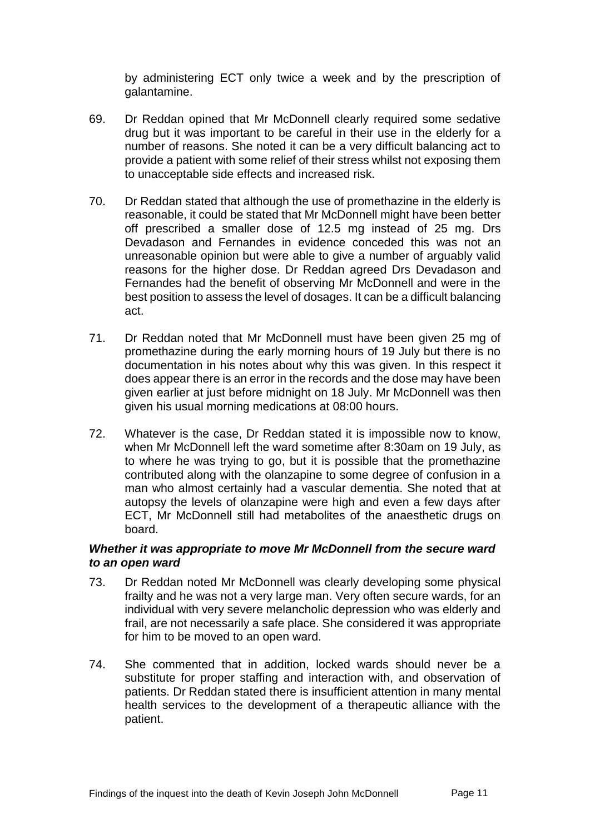by administering ECT only twice a week and by the prescription of galantamine.

- 69. Dr Reddan opined that Mr McDonnell clearly required some sedative drug but it was important to be careful in their use in the elderly for a number of reasons. She noted it can be a very difficult balancing act to provide a patient with some relief of their stress whilst not exposing them to unacceptable side effects and increased risk.
- 70. Dr Reddan stated that although the use of promethazine in the elderly is reasonable, it could be stated that Mr McDonnell might have been better off prescribed a smaller dose of 12.5 mg instead of 25 mg. Drs Devadason and Fernandes in evidence conceded this was not an unreasonable opinion but were able to give a number of arguably valid reasons for the higher dose. Dr Reddan agreed Drs Devadason and Fernandes had the benefit of observing Mr McDonnell and were in the best position to assess the level of dosages. It can be a difficult balancing act.
- 71. Dr Reddan noted that Mr McDonnell must have been given 25 mg of promethazine during the early morning hours of 19 July but there is no documentation in his notes about why this was given. In this respect it does appear there is an error in the records and the dose may have been given earlier at just before midnight on 18 July. Mr McDonnell was then given his usual morning medications at 08:00 hours.
- 72. Whatever is the case, Dr Reddan stated it is impossible now to know, when Mr McDonnell left the ward sometime after 8:30am on 19 July, as to where he was trying to go, but it is possible that the promethazine contributed along with the olanzapine to some degree of confusion in a man who almost certainly had a vascular dementia. She noted that at autopsy the levels of olanzapine were high and even a few days after ECT, Mr McDonnell still had metabolites of the anaesthetic drugs on board.

#### *Whether it was appropriate to move Mr McDonnell from the secure ward to an open ward*

- 73. Dr Reddan noted Mr McDonnell was clearly developing some physical frailty and he was not a very large man. Very often secure wards, for an individual with very severe melancholic depression who was elderly and frail, are not necessarily a safe place. She considered it was appropriate for him to be moved to an open ward.
- 74. She commented that in addition, locked wards should never be a substitute for proper staffing and interaction with, and observation of patients. Dr Reddan stated there is insufficient attention in many mental health services to the development of a therapeutic alliance with the patient.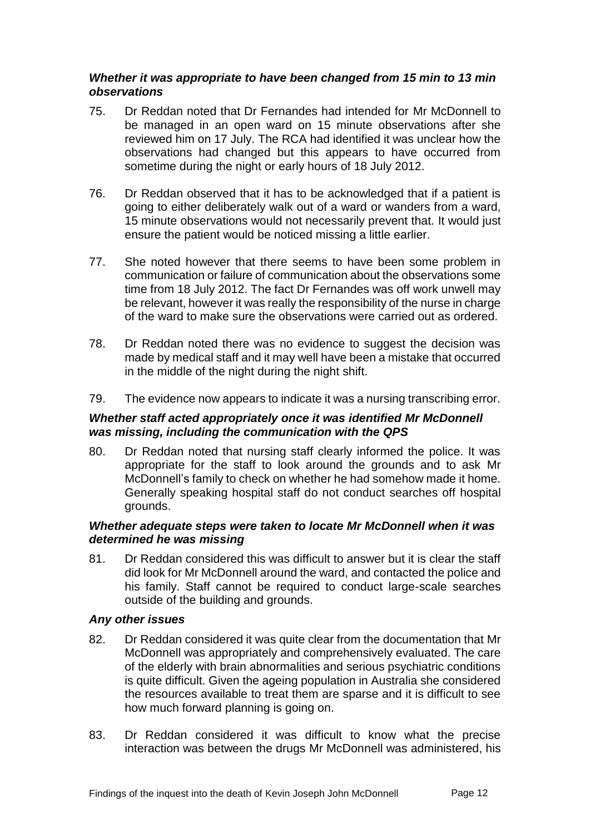#### *Whether it was appropriate to have been changed from 15 min to 13 min observations*

- 75. Dr Reddan noted that Dr Fernandes had intended for Mr McDonnell to be managed in an open ward on 15 minute observations after she reviewed him on 17 July. The RCA had identified it was unclear how the observations had changed but this appears to have occurred from sometime during the night or early hours of 18 July 2012.
- 76. Dr Reddan observed that it has to be acknowledged that if a patient is going to either deliberately walk out of a ward or wanders from a ward, 15 minute observations would not necessarily prevent that. It would just ensure the patient would be noticed missing a little earlier.
- 77. She noted however that there seems to have been some problem in communication or failure of communication about the observations some time from 18 July 2012. The fact Dr Fernandes was off work unwell may be relevant, however it was really the responsibility of the nurse in charge of the ward to make sure the observations were carried out as ordered.
- 78. Dr Reddan noted there was no evidence to suggest the decision was made by medical staff and it may well have been a mistake that occurred in the middle of the night during the night shift.
- 79. The evidence now appears to indicate it was a nursing transcribing error.

### *Whether staff acted appropriately once it was identified Mr McDonnell was missing, including the communication with the QPS*

80. Dr Reddan noted that nursing staff clearly informed the police. It was appropriate for the staff to look around the grounds and to ask Mr McDonnell's family to check on whether he had somehow made it home. Generally speaking hospital staff do not conduct searches off hospital grounds.

#### *Whether adequate steps were taken to locate Mr McDonnell when it was determined he was missing*

81. Dr Reddan considered this was difficult to answer but it is clear the staff did look for Mr McDonnell around the ward, and contacted the police and his family. Staff cannot be required to conduct large-scale searches outside of the building and grounds.

#### *Any other issues*

- 82. Dr Reddan considered it was quite clear from the documentation that Mr McDonnell was appropriately and comprehensively evaluated. The care of the elderly with brain abnormalities and serious psychiatric conditions is quite difficult. Given the ageing population in Australia she considered the resources available to treat them are sparse and it is difficult to see how much forward planning is going on.
- 83. Dr Reddan considered it was difficult to know what the precise interaction was between the drugs Mr McDonnell was administered, his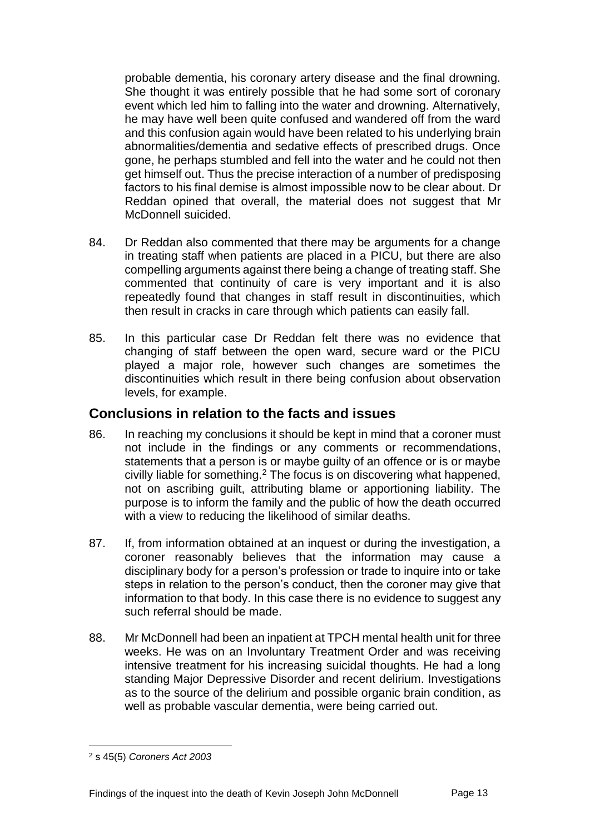probable dementia, his coronary artery disease and the final drowning. She thought it was entirely possible that he had some sort of coronary event which led him to falling into the water and drowning. Alternatively, he may have well been quite confused and wandered off from the ward and this confusion again would have been related to his underlying brain abnormalities/dementia and sedative effects of prescribed drugs. Once gone, he perhaps stumbled and fell into the water and he could not then get himself out. Thus the precise interaction of a number of predisposing factors to his final demise is almost impossible now to be clear about. Dr Reddan opined that overall, the material does not suggest that Mr McDonnell suicided.

- 84. Dr Reddan also commented that there may be arguments for a change in treating staff when patients are placed in a PICU, but there are also compelling arguments against there being a change of treating staff. She commented that continuity of care is very important and it is also repeatedly found that changes in staff result in discontinuities, which then result in cracks in care through which patients can easily fall.
- 85. In this particular case Dr Reddan felt there was no evidence that changing of staff between the open ward, secure ward or the PICU played a major role, however such changes are sometimes the discontinuities which result in there being confusion about observation levels, for example.

## **Conclusions in relation to the facts and issues**

- 86. In reaching my conclusions it should be kept in mind that a coroner must not include in the findings or any comments or recommendations, statements that a person is or maybe guilty of an offence or is or maybe civilly liable for something.<sup>2</sup> The focus is on discovering what happened, not on ascribing guilt, attributing blame or apportioning liability. The purpose is to inform the family and the public of how the death occurred with a view to reducing the likelihood of similar deaths.
- 87. If, from information obtained at an inquest or during the investigation, a coroner reasonably believes that the information may cause a disciplinary body for a person's profession or trade to inquire into or take steps in relation to the person's conduct, then the coroner may give that information to that body. In this case there is no evidence to suggest any such referral should be made.
- 88. Mr McDonnell had been an inpatient at TPCH mental health unit for three weeks. He was on an Involuntary Treatment Order and was receiving intensive treatment for his increasing suicidal thoughts. He had a long standing Major Depressive Disorder and recent delirium. Investigations as to the source of the delirium and possible organic brain condition, as well as probable vascular dementia, were being carried out.

l

<sup>2</sup> s 45(5) *Coroners Act 2003*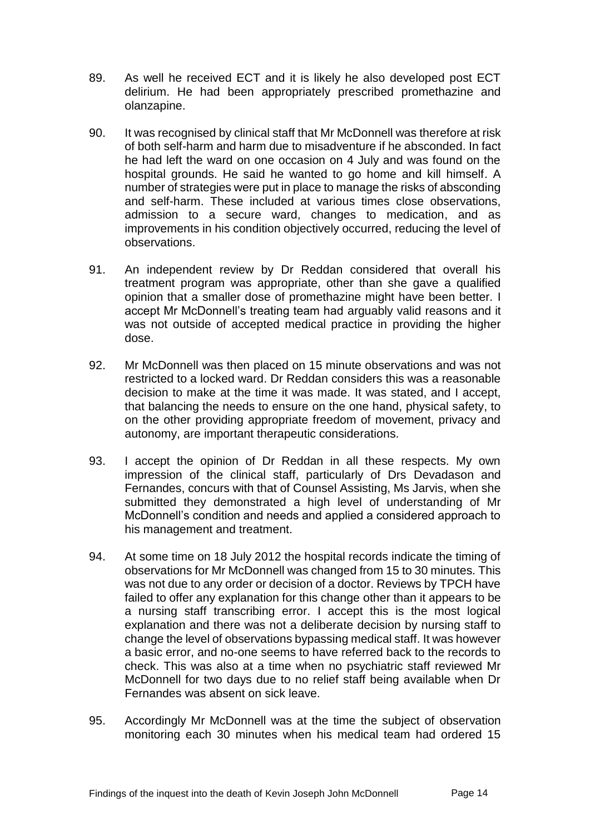- 89. As well he received ECT and it is likely he also developed post ECT delirium. He had been appropriately prescribed promethazine and olanzapine.
- 90. It was recognised by clinical staff that Mr McDonnell was therefore at risk of both self-harm and harm due to misadventure if he absconded. In fact he had left the ward on one occasion on 4 July and was found on the hospital grounds. He said he wanted to go home and kill himself. A number of strategies were put in place to manage the risks of absconding and self-harm. These included at various times close observations, admission to a secure ward, changes to medication, and as improvements in his condition objectively occurred, reducing the level of observations.
- 91. An independent review by Dr Reddan considered that overall his treatment program was appropriate, other than she gave a qualified opinion that a smaller dose of promethazine might have been better. I accept Mr McDonnell's treating team had arguably valid reasons and it was not outside of accepted medical practice in providing the higher dose.
- 92. Mr McDonnell was then placed on 15 minute observations and was not restricted to a locked ward. Dr Reddan considers this was a reasonable decision to make at the time it was made. It was stated, and I accept, that balancing the needs to ensure on the one hand, physical safety, to on the other providing appropriate freedom of movement, privacy and autonomy, are important therapeutic considerations.
- 93. I accept the opinion of Dr Reddan in all these respects. My own impression of the clinical staff, particularly of Drs Devadason and Fernandes, concurs with that of Counsel Assisting, Ms Jarvis, when she submitted they demonstrated a high level of understanding of Mr McDonnell's condition and needs and applied a considered approach to his management and treatment.
- 94. At some time on 18 July 2012 the hospital records indicate the timing of observations for Mr McDonnell was changed from 15 to 30 minutes. This was not due to any order or decision of a doctor. Reviews by TPCH have failed to offer any explanation for this change other than it appears to be a nursing staff transcribing error. I accept this is the most logical explanation and there was not a deliberate decision by nursing staff to change the level of observations bypassing medical staff. It was however a basic error, and no-one seems to have referred back to the records to check. This was also at a time when no psychiatric staff reviewed Mr McDonnell for two days due to no relief staff being available when Dr Fernandes was absent on sick leave.
- 95. Accordingly Mr McDonnell was at the time the subject of observation monitoring each 30 minutes when his medical team had ordered 15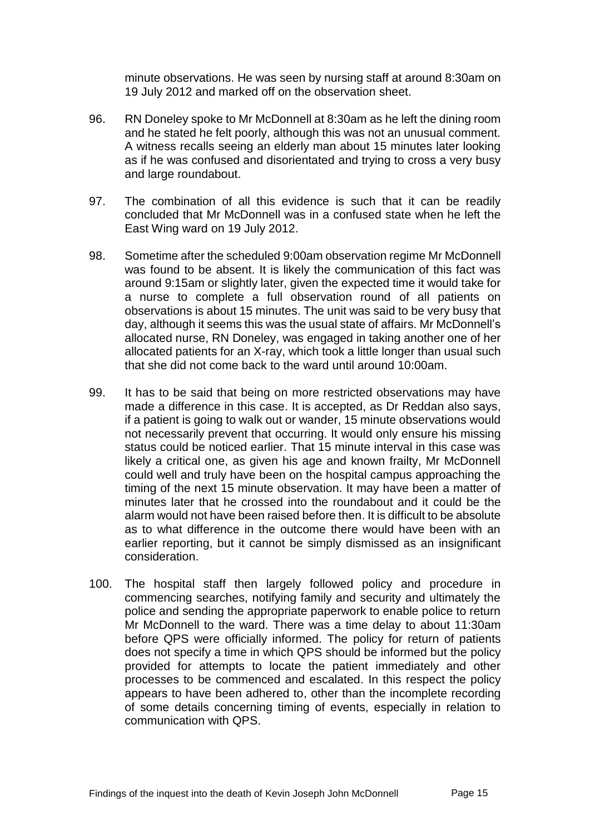minute observations. He was seen by nursing staff at around 8:30am on 19 July 2012 and marked off on the observation sheet.

- 96. RN Doneley spoke to Mr McDonnell at 8:30am as he left the dining room and he stated he felt poorly, although this was not an unusual comment. A witness recalls seeing an elderly man about 15 minutes later looking as if he was confused and disorientated and trying to cross a very busy and large roundabout.
- 97. The combination of all this evidence is such that it can be readily concluded that Mr McDonnell was in a confused state when he left the East Wing ward on 19 July 2012.
- 98. Sometime after the scheduled 9:00am observation regime Mr McDonnell was found to be absent. It is likely the communication of this fact was around 9:15am or slightly later, given the expected time it would take for a nurse to complete a full observation round of all patients on observations is about 15 minutes. The unit was said to be very busy that day, although it seems this was the usual state of affairs. Mr McDonnell's allocated nurse, RN Doneley, was engaged in taking another one of her allocated patients for an X-ray, which took a little longer than usual such that she did not come back to the ward until around 10:00am.
- 99. It has to be said that being on more restricted observations may have made a difference in this case. It is accepted, as Dr Reddan also says, if a patient is going to walk out or wander, 15 minute observations would not necessarily prevent that occurring. It would only ensure his missing status could be noticed earlier. That 15 minute interval in this case was likely a critical one, as given his age and known frailty, Mr McDonnell could well and truly have been on the hospital campus approaching the timing of the next 15 minute observation. It may have been a matter of minutes later that he crossed into the roundabout and it could be the alarm would not have been raised before then. It is difficult to be absolute as to what difference in the outcome there would have been with an earlier reporting, but it cannot be simply dismissed as an insignificant consideration.
- 100. The hospital staff then largely followed policy and procedure in commencing searches, notifying family and security and ultimately the police and sending the appropriate paperwork to enable police to return Mr McDonnell to the ward. There was a time delay to about 11:30am before QPS were officially informed. The policy for return of patients does not specify a time in which QPS should be informed but the policy provided for attempts to locate the patient immediately and other processes to be commenced and escalated. In this respect the policy appears to have been adhered to, other than the incomplete recording of some details concerning timing of events, especially in relation to communication with QPS.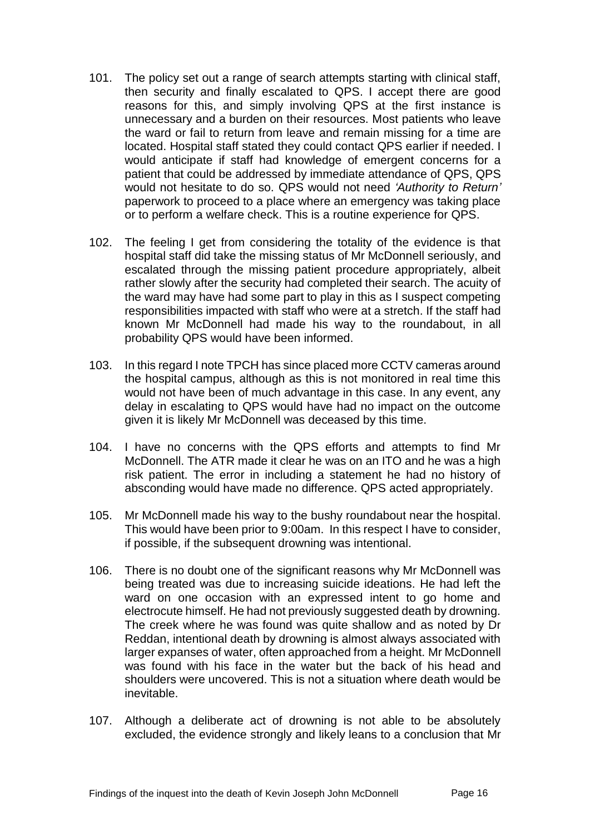- 101. The policy set out a range of search attempts starting with clinical staff, then security and finally escalated to QPS. I accept there are good reasons for this, and simply involving QPS at the first instance is unnecessary and a burden on their resources. Most patients who leave the ward or fail to return from leave and remain missing for a time are located. Hospital staff stated they could contact QPS earlier if needed. I would anticipate if staff had knowledge of emergent concerns for a patient that could be addressed by immediate attendance of QPS, QPS would not hesitate to do so. QPS would not need *'Authority to Return'* paperwork to proceed to a place where an emergency was taking place or to perform a welfare check. This is a routine experience for QPS.
- 102. The feeling I get from considering the totality of the evidence is that hospital staff did take the missing status of Mr McDonnell seriously, and escalated through the missing patient procedure appropriately, albeit rather slowly after the security had completed their search. The acuity of the ward may have had some part to play in this as I suspect competing responsibilities impacted with staff who were at a stretch. If the staff had known Mr McDonnell had made his way to the roundabout, in all probability QPS would have been informed.
- 103. In this regard I note TPCH has since placed more CCTV cameras around the hospital campus, although as this is not monitored in real time this would not have been of much advantage in this case. In any event, any delay in escalating to QPS would have had no impact on the outcome given it is likely Mr McDonnell was deceased by this time.
- 104. I have no concerns with the QPS efforts and attempts to find Mr McDonnell. The ATR made it clear he was on an ITO and he was a high risk patient. The error in including a statement he had no history of absconding would have made no difference. QPS acted appropriately.
- 105. Mr McDonnell made his way to the bushy roundabout near the hospital. This would have been prior to 9:00am. In this respect I have to consider, if possible, if the subsequent drowning was intentional.
- 106. There is no doubt one of the significant reasons why Mr McDonnell was being treated was due to increasing suicide ideations. He had left the ward on one occasion with an expressed intent to go home and electrocute himself. He had not previously suggested death by drowning. The creek where he was found was quite shallow and as noted by Dr Reddan, intentional death by drowning is almost always associated with larger expanses of water, often approached from a height. Mr McDonnell was found with his face in the water but the back of his head and shoulders were uncovered. This is not a situation where death would be inevitable.
- 107. Although a deliberate act of drowning is not able to be absolutely excluded, the evidence strongly and likely leans to a conclusion that Mr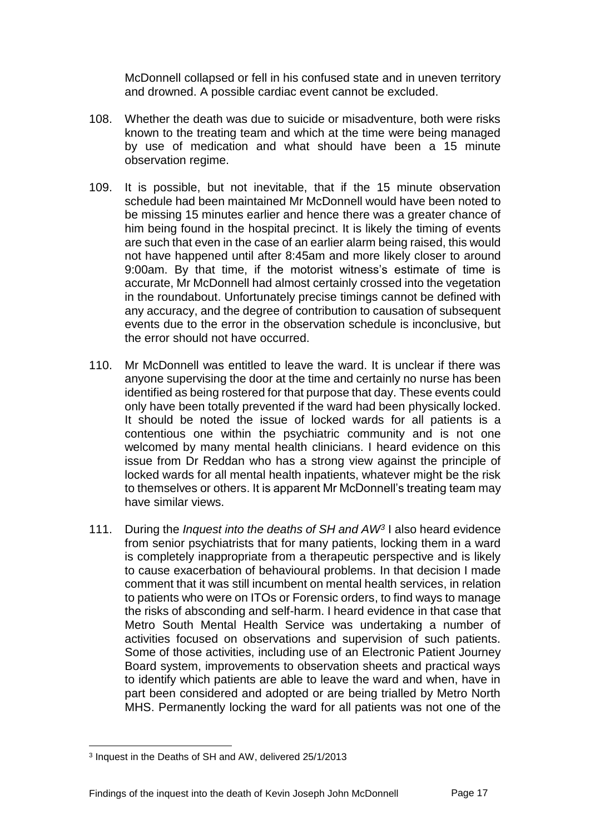McDonnell collapsed or fell in his confused state and in uneven territory and drowned. A possible cardiac event cannot be excluded.

- 108. Whether the death was due to suicide or misadventure, both were risks known to the treating team and which at the time were being managed by use of medication and what should have been a 15 minute observation regime.
- 109. It is possible, but not inevitable, that if the 15 minute observation schedule had been maintained Mr McDonnell would have been noted to be missing 15 minutes earlier and hence there was a greater chance of him being found in the hospital precinct. It is likely the timing of events are such that even in the case of an earlier alarm being raised, this would not have happened until after 8:45am and more likely closer to around 9:00am. By that time, if the motorist witness's estimate of time is accurate, Mr McDonnell had almost certainly crossed into the vegetation in the roundabout. Unfortunately precise timings cannot be defined with any accuracy, and the degree of contribution to causation of subsequent events due to the error in the observation schedule is inconclusive, but the error should not have occurred.
- 110. Mr McDonnell was entitled to leave the ward. It is unclear if there was anyone supervising the door at the time and certainly no nurse has been identified as being rostered for that purpose that day. These events could only have been totally prevented if the ward had been physically locked. It should be noted the issue of locked wards for all patients is a contentious one within the psychiatric community and is not one welcomed by many mental health clinicians. I heard evidence on this issue from Dr Reddan who has a strong view against the principle of locked wards for all mental health inpatients, whatever might be the risk to themselves or others. It is apparent Mr McDonnell's treating team may have similar views.
- 111. During the *Inquest into the deaths of SH and AW<sup>3</sup>* I also heard evidence from senior psychiatrists that for many patients, locking them in a ward is completely inappropriate from a therapeutic perspective and is likely to cause exacerbation of behavioural problems. In that decision I made comment that it was still incumbent on mental health services, in relation to patients who were on ITOs or Forensic orders, to find ways to manage the risks of absconding and self-harm. I heard evidence in that case that Metro South Mental Health Service was undertaking a number of activities focused on observations and supervision of such patients. Some of those activities, including use of an Electronic Patient Journey Board system, improvements to observation sheets and practical ways to identify which patients are able to leave the ward and when, have in part been considered and adopted or are being trialled by Metro North MHS. Permanently locking the ward for all patients was not one of the

l

<sup>3</sup> Inquest in the Deaths of SH and AW, delivered 25/1/2013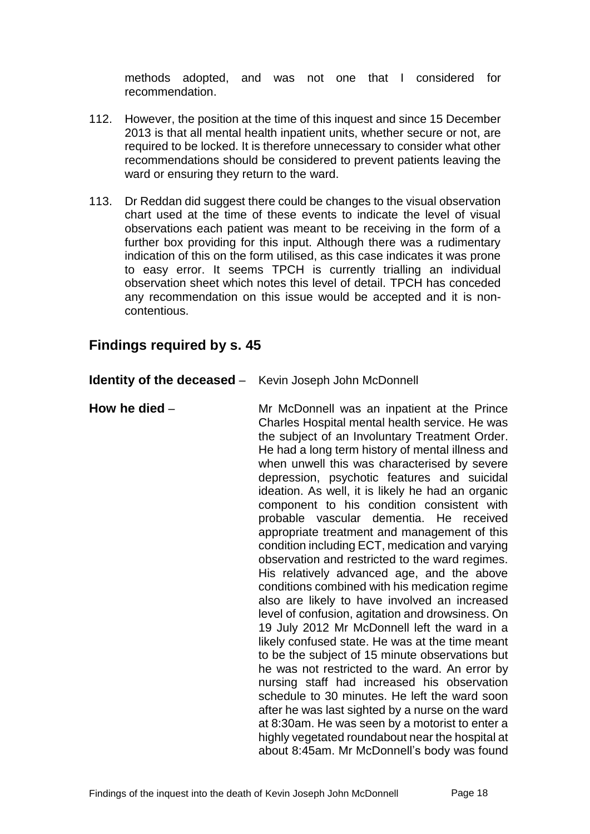methods adopted, and was not one that I considered for recommendation.

- 112. However, the position at the time of this inquest and since 15 December 2013 is that all mental health inpatient units, whether secure or not, are required to be locked. It is therefore unnecessary to consider what other recommendations should be considered to prevent patients leaving the ward or ensuring they return to the ward.
- 113. Dr Reddan did suggest there could be changes to the visual observation chart used at the time of these events to indicate the level of visual observations each patient was meant to be receiving in the form of a further box providing for this input. Although there was a rudimentary indication of this on the form utilised, as this case indicates it was prone to easy error. It seems TPCH is currently trialling an individual observation sheet which notes this level of detail. TPCH has conceded any recommendation on this issue would be accepted and it is noncontentious.

**Identity of the deceased** – Kevin Joseph John McDonnell

# **Findings required by s. 45**

| How he died - | Mr McDonnell was an inpatient at the Prince<br>Charles Hospital mental health service. He was<br>the subject of an Involuntary Treatment Order.<br>He had a long term history of mental illness and<br>when unwell this was characterised by severe<br>depression, psychotic features and suicidal<br>ideation. As well, it is likely he had an organic<br>component to his condition consistent with<br>probable vascular dementia. He received<br>appropriate treatment and management of this<br>condition including ECT, medication and varying<br>observation and restricted to the ward regimes.<br>His relatively advanced age, and the above<br>conditions combined with his medication regime<br>also are likely to have involved an increased<br>level of confusion, agitation and drowsiness. On<br>19 July 2012 Mr McDonnell left the ward in a<br>likely confused state. He was at the time meant<br>to be the subject of 15 minute observations but<br>he was not restricted to the ward. An error by<br>nursing staff had increased his observation |
|---------------|--------------------------------------------------------------------------------------------------------------------------------------------------------------------------------------------------------------------------------------------------------------------------------------------------------------------------------------------------------------------------------------------------------------------------------------------------------------------------------------------------------------------------------------------------------------------------------------------------------------------------------------------------------------------------------------------------------------------------------------------------------------------------------------------------------------------------------------------------------------------------------------------------------------------------------------------------------------------------------------------------------------------------------------------------------------------|
|               | schedule to 30 minutes. He left the ward soon<br>after he was last sighted by a nurse on the ward<br>at 8:30am. He was seen by a motorist to enter a<br>highly vegetated roundabout near the hospital at<br>about 8:45am. Mr McDonnell's body was found                                                                                                                                                                                                                                                                                                                                                                                                                                                                                                                                                                                                                                                                                                                                                                                                            |